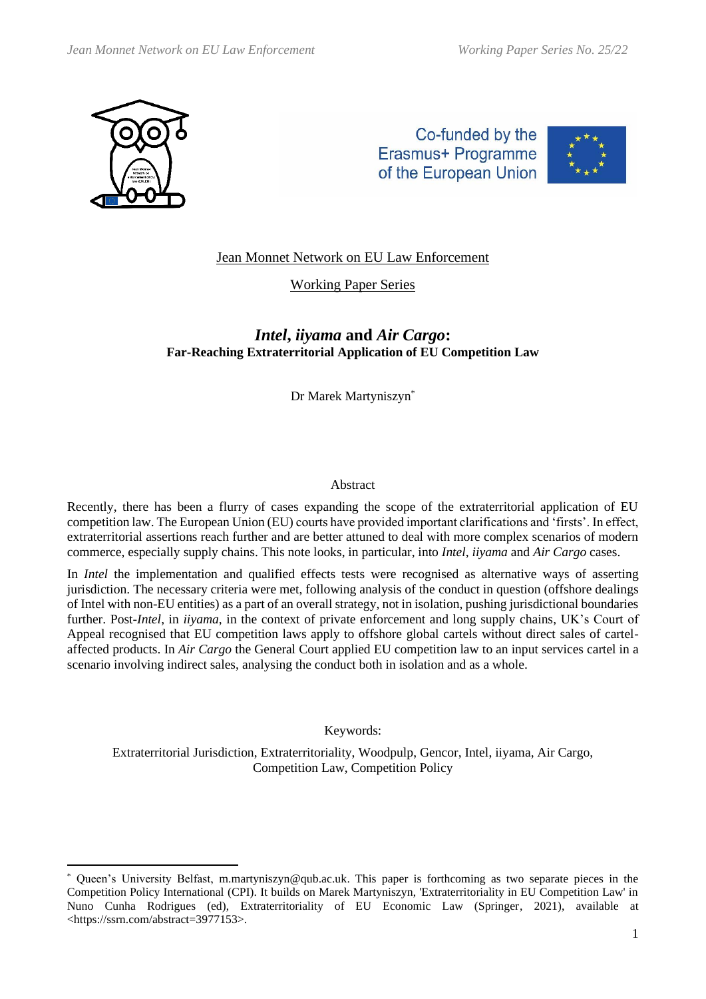

Co-funded by the Erasmus+ Programme of the European Union



# Jean Monnet Network on EU Law Enforcement

## Working Paper Series

# *Intel***,** *iiyama* **and** *Air Cargo***: Far-Reaching Extraterritorial Application of EU Competition Law**

Dr Marek Martyniszyn\*

#### Abstract

Recently, there has been a flurry of cases expanding the scope of the extraterritorial application of EU competition law. The European Union (EU) courts have provided important clarifications and 'firsts'. In effect, extraterritorial assertions reach further and are better attuned to deal with more complex scenarios of modern commerce, especially supply chains. This note looks, in particular, into *Intel*, *iiyama* and *Air Cargo* cases.

In *Intel* the implementation and qualified effects tests were recognised as alternative ways of asserting jurisdiction. The necessary criteria were met, following analysis of the conduct in question (offshore dealings of Intel with non-EU entities) as a part of an overall strategy, not in isolation, pushing jurisdictional boundaries further. Post-*Intel*, in *iiyama*, in the context of private enforcement and long supply chains, UK's Court of Appeal recognised that EU competition laws apply to offshore global cartels without direct sales of cartelaffected products. In *Air Cargo* the General Court applied EU competition law to an input services cartel in a scenario involving indirect sales, analysing the conduct both in isolation and as a whole.

Keywords:

Extraterritorial Jurisdiction, Extraterritoriality, Woodpulp, Gencor, Intel, iiyama, Air Cargo, Competition Law, Competition Policy

Queen's University Belfast, [m.martyniszyn@qub.ac.uk.](mailto:m.martyniszyn@qub.ac.uk) This paper is forthcoming as two separate pieces in the Competition Policy International (CPI). It builds on [Marek Martyniszyn, 'Extraterritoriality in EU Competition Law' in](https://ssrn.com/abstract=3977153)  [Nuno Cunha Rodrigues \(ed\), Extraterritoriality of EU Economic Law \(Springer,](https://ssrn.com/abstract=3977153) 2021), available at [<https://ssrn.com/abstract=3977153>.](https://ssrn.com/abstract=3977153)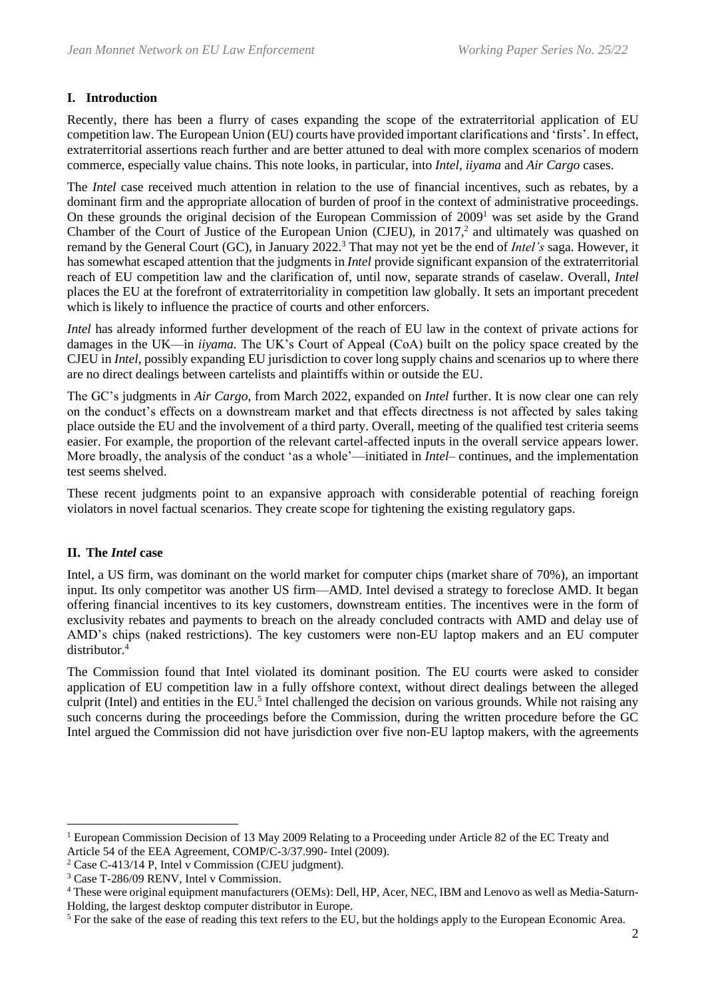## **I. Introduction**

Recently, there has been a flurry of cases expanding the scope of the extraterritorial application of EU competition law. The European Union (EU) courts have provided important clarifications and 'firsts'. In effect, extraterritorial assertions reach further and are better attuned to deal with more complex scenarios of modern commerce, especially value chains. This note looks, in particular, into *Intel*, *iiyama* and *Air Cargo* cases.

<span id="page-1-0"></span>The *Intel* case received much attention in relation to the use of financial incentives, such as rebates, by a dominant firm and the appropriate allocation of burden of proof in the context of administrative proceedings. On these grounds the original decision of the European Commission of 2009<sup>1</sup> was set aside by the Grand Chamber of the Court of Justice of the European Union (CJEU), in 2017,<sup>2</sup> and ultimately was quashed on remand by the General Court (GC), in January 2022.<sup>3</sup> That may not yet be the end of *Intel's* saga. However, it has somewhat escaped attention that the judgments in *Intel* provide significant expansion of the extraterritorial reach of EU competition law and the clarification of, until now, separate strands of caselaw. Overall, *Intel* places the EU at the forefront of extraterritoriality in competition law globally. It sets an important precedent which is likely to influence the practice of courts and other enforcers.

*Intel* has already informed further development of the reach of EU law in the context of private actions for damages in the UK—in *iiyama.* The UK's Court of Appeal (CoA) built on the policy space created by the CJEU in *Intel*, possibly expanding EU jurisdiction to cover long supply chains and scenarios up to where there are no direct dealings between cartelists and plaintiffs within or outside the EU.

The GC's judgments in *Air Cargo*, from March 2022, expanded on *Intel* further. It is now clear one can rely on the conduct's effects on a downstream market and that effects directness is not affected by sales taking place outside the EU and the involvement of a third party. Overall, meeting of the qualified test criteria seems easier. For example, the proportion of the relevant cartel-affected inputs in the overall service appears lower. More broadly, the analysis of the conduct 'as a whole'—initiated in *Intel*– continues, and the implementation test seems shelved.

These recent judgments point to an expansive approach with considerable potential of reaching foreign violators in novel factual scenarios. They create scope for tightening the existing regulatory gaps.

## **II. The** *Intel* **case**

Intel, a US firm, was dominant on the world market for computer chips (market share of 70%), an important input. Its only competitor was another US firm—AMD. Intel devised a strategy to foreclose AMD. It began offering financial incentives to its key customers, downstream entities. The incentives were in the form of exclusivity rebates and payments to breach on the already concluded contracts with AMD and delay use of AMD's chips (naked restrictions). The key customers were non-EU laptop makers and an EU computer distributor.<sup>4</sup>

The Commission found that Intel violated its dominant position. The EU courts were asked to consider application of EU competition law in a fully offshore context, without direct dealings between the alleged culprit (Intel) and entities in the EU.<sup>5</sup> Intel challenged the decision on various grounds. While not raising any such concerns during the proceedings before the Commission, during the written procedure before the GC Intel argued the Commission did not have jurisdiction over five non-EU laptop makers, with the agreements

<sup>&</sup>lt;sup>1</sup> European Commission Decision of 13 May 2009 Relating to a Proceeding under Article 82 of the EC Treaty and Article 54 of the EEA Agreement, COMP/C-3/37.990- Intel (2009).

<sup>2</sup> Case C-413/14 P, Intel v Commission (CJEU judgment).

<sup>3</sup> Case T-286/09 RENV, Intel v Commission.

<sup>4</sup> These were original equipment manufacturers (OEMs): Dell, HP, Acer, NEC, IBM and Lenovo as well as Media-Saturn-Holding, the largest desktop computer distributor in Europe.

<sup>&</sup>lt;sup>5</sup> For the sake of the ease of reading this text refers to the EU, but the holdings apply to the European Economic Area.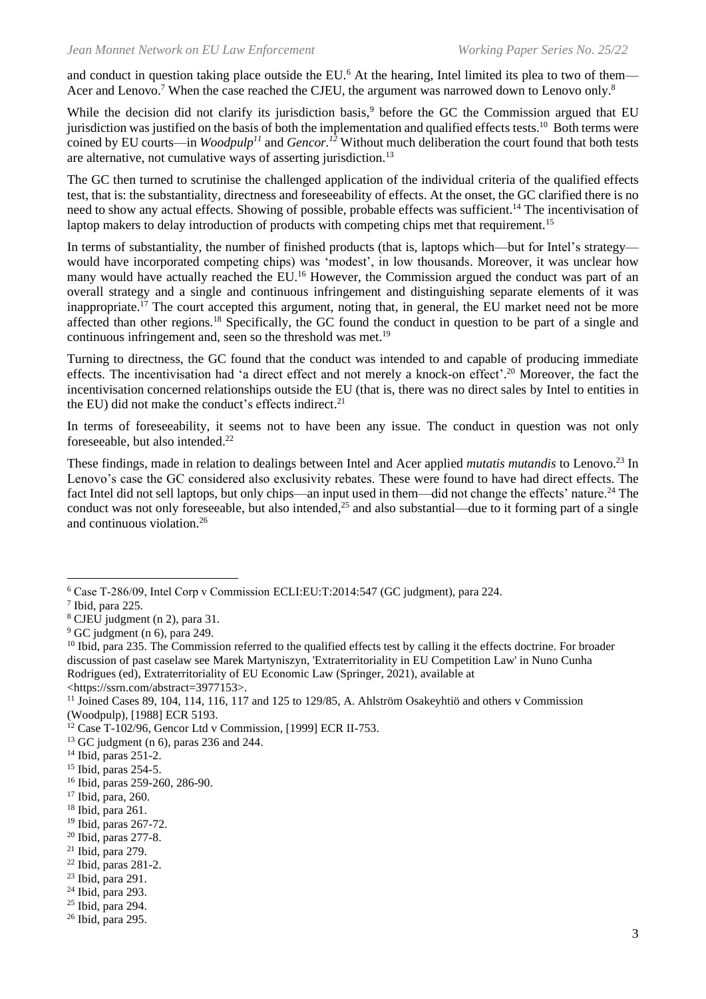<span id="page-2-0"></span>and conduct in question taking place outside the EU.<sup>6</sup> At the hearing, Intel limited its plea to two of them— Acer and Lenovo.<sup>7</sup> When the case reached the CJEU, the argument was narrowed down to Lenovo only.<sup>8</sup>

<span id="page-2-2"></span><span id="page-2-1"></span>While the decision did not clarify its jurisdiction basis,<sup>9</sup> before the GC the Commission argued that EU jurisdiction was justified on the basis of both the implementation and qualified effects tests.<sup>10</sup> Both terms were coined by EU courts—in *Woodpulp<sup>11</sup>* and *Gencor. <sup>12</sup>* Without much deliberation the court found that both tests are alternative, not cumulative ways of asserting jurisdiction.<sup>13</sup>

The GC then turned to scrutinise the challenged application of the individual criteria of the qualified effects test, that is: the substantiality, directness and foreseeability of effects. At the onset, the GC clarified there is no need to show any actual effects. Showing of possible, probable effects was sufficient.<sup>14</sup> The incentivisation of laptop makers to delay introduction of products with competing chips met that requirement.<sup>15</sup>

In terms of substantiality, the number of finished products (that is, laptops which—but for Intel's strategy would have incorporated competing chips) was 'modest', in low thousands. Moreover, it was unclear how many would have actually reached the EU.<sup>16</sup> However, the Commission argued the conduct was part of an overall strategy and a single and continuous infringement and distinguishing separate elements of it was inappropriate.<sup>17</sup> The court accepted this argument, noting that, in general, the EU market need not be more affected than other regions.<sup>18</sup> Specifically, the GC found the conduct in question to be part of a single and continuous infringement and, seen so the threshold was met.<sup>19</sup>

Turning to directness, the GC found that the conduct was intended to and capable of producing immediate effects. The incentivisation had 'a direct effect and not merely a knock-on effect'.<sup>20</sup> Moreover, the fact the incentivisation concerned relationships outside the EU (that is, there was no direct sales by Intel to entities in the EU) did not make the conduct's effects indirect.<sup>21</sup>

In terms of foreseeability, it seems not to have been any issue. The conduct in question was not only foreseeable, but also intended. 22

These findings, made in relation to dealings between Intel and Acer applied *mutatis mutandis* to Lenovo.<sup>23</sup> In Lenovo's case the GC considered also exclusivity rebates. These were found to have had direct effects. The fact Intel did not sell laptops, but only chips—an input used in them—did not change the effects' nature.<sup>24</sup> The conduct was not only foreseeable, but also intended, $25$  and also substantial—due to it forming part of a single and continuous violation.<sup>26</sup>

<sup>6</sup> Case T‑286/09, Intel Corp v Commission ECLI:EU:T:2014:547 (GC judgment), para 224.

 $<sup>7</sup>$  Ibid, para 225.</sup>

<sup>8</sup> CJEU judgment (n [2\)](#page-1-0), para 31.

<sup>9</sup> GC judgment (n [6\)](#page-2-0), para 249.

 $10$  Ibid, para 235. The Commission referred to the qualified effects test by calling it the effects doctrine. For broader discussion of past caselaw see [Marek Martyniszyn, 'Extraterritoriality in EU Competition Law' in Nuno Cunha](https://ssrn.com/abstract=3977153)  [Rodrigues \(ed\), Extraterritoriality of EU Economic Law \(Springer, 2021\), available at](https://ssrn.com/abstract=3977153)  [<https://ssrn.com/abstract=3977153>.](https://ssrn.com/abstract=3977153)

<sup>&</sup>lt;sup>11</sup> Joined Cases 89, 104, 114, 116, 117 and 125 to 129/85, A. Ahlström Osakeyhtiö and others v Commission (Woodpulp), [1988] ECR 5193.

<sup>12</sup> Case T-102/96, Gencor Ltd v Commission, [1999] ECR II-753.

<sup>13</sup> GC judgment (n [6\)](#page-2-0), paras 236 and 244.

<sup>14</sup> Ibid, paras 251-2.

<sup>15</sup> Ibid, paras 254-5.

<sup>16</sup> Ibid, paras 259-260, 286-90.

<sup>17</sup> Ibid, para, 260.

<sup>18</sup> Ibid, para 261.

<sup>19</sup> Ibid, paras 267-72.

<sup>20</sup> Ibid, paras 277-8.

 $21$  Ibid, para 279.

<sup>22</sup> Ibid, paras 281-2.

<sup>23</sup> Ibid, para 291.

<sup>24</sup> Ibid, para 293.

<sup>25</sup> Ibid, para 294.

<sup>26</sup> Ibid, para 295.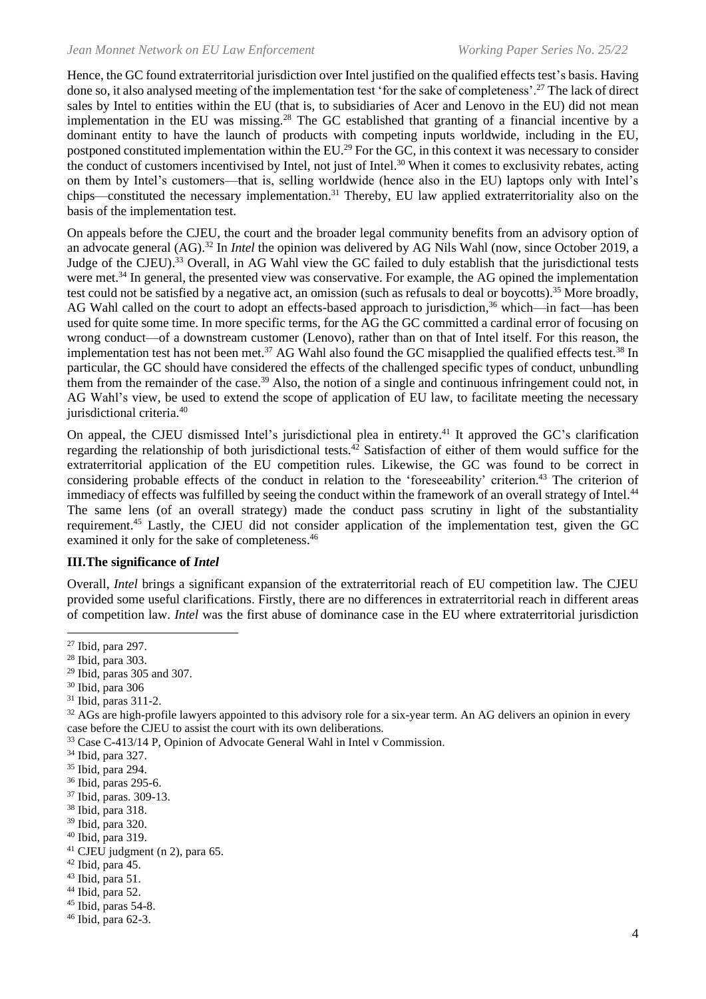Hence, the GC found extraterritorial jurisdiction over Intel justified on the qualified effects test's basis. Having done so, it also analysed meeting of the implementation test 'for the sake of completeness'.<sup>27</sup> The lack of direct sales by Intel to entities within the EU (that is, to subsidiaries of Acer and Lenovo in the EU) did not mean implementation in the EU was missing.<sup>28</sup> The GC established that granting of a financial incentive by a dominant entity to have the launch of products with competing inputs worldwide, including in the EU, postponed constituted implementation within the EU.<sup>29</sup> For the GC, in this context it was necessary to consider the conduct of customers incentivised by Intel, not just of Intel.<sup>30</sup> When it comes to exclusivity rebates, acting on them by Intel's customers—that is, selling worldwide (hence also in the EU) laptops only with Intel's chips—constituted the necessary implementation.<sup>31</sup> Thereby, EU law applied extraterritoriality also on the basis of the implementation test.

On appeals before the CJEU, the court and the broader legal community benefits from an advisory option of an advocate general (AG).<sup>32</sup> In *Intel* the opinion was delivered by AG Nils Wahl (now, since October 2019, a Judge of the CJEU).<sup>33</sup> Overall, in AG Wahl view the GC failed to duly establish that the jurisdictional tests were met.<sup>34</sup> In general, the presented view was conservative. For example, the AG opined the implementation test could not be satisfied by a negative act, an omission (such as refusals to deal or boycotts).<sup>35</sup> More broadly, AG Wahl called on the court to adopt an effects-based approach to jurisdiction,<sup>36</sup> which—in fact—has been used for quite some time. In more specific terms, for the AG the GC committed a cardinal error of focusing on wrong conduct—of a downstream customer (Lenovo), rather than on that of Intel itself. For this reason, the implementation test has not been met.<sup>37</sup> AG Wahl also found the GC misapplied the qualified effects test.<sup>38</sup> In particular, the GC should have considered the effects of the challenged specific types of conduct, unbundling them from the remainder of the case.<sup>39</sup> Also, the notion of a single and continuous infringement could not, in AG Wahl's view, be used to extend the scope of application of EU law, to facilitate meeting the necessary jurisdictional criteria.<sup>40</sup>

On appeal, the CJEU dismissed Intel's jurisdictional plea in entirety.<sup>41</sup> It approved the GC's clarification regarding the relationship of both jurisdictional tests.<sup>42</sup> Satisfaction of either of them would suffice for the extraterritorial application of the EU competition rules. Likewise, the GC was found to be correct in considering probable effects of the conduct in relation to the 'foreseeability' criterion. <sup>43</sup> The criterion of immediacy of effects was fulfilled by seeing the conduct within the framework of an overall strategy of Intel.<sup>44</sup> The same lens (of an overall strategy) made the conduct pass scrutiny in light of the substantiality requirement.<sup>45</sup> Lastly, the CJEU did not consider application of the implementation test, given the GC examined it only for the sake of completeness.<sup>46</sup>

## **III.The significance of** *Intel*

Overall, *Intel* brings a significant expansion of the extraterritorial reach of EU competition law. The CJEU provided some useful clarifications. Firstly, there are no differences in extraterritorial reach in different areas of competition law. *Intel* was the first abuse of dominance case in the EU where extraterritorial jurisdiction

- <sup>29</sup> Ibid, paras 305 and 307.
- <sup>30</sup> Ibid, para 306
- <sup>31</sup> Ibid, paras 311-2.

 $32$  AGs are high-profile lawyers appointed to this advisory role for a six-year term. An AG delivers an opinion in every case before the CJEU to assist the court with its own deliberations.

<sup>33</sup> Case C-413/14 P, Opinion of Advocate General Wahl in Intel v Commission.

<sup>35</sup> Ibid, para 294.

 $41$  CJEU judgment (n [2\)](#page-1-0), para 65.

- $43$  Ibid, para 51.
- $44$  Ibid, para 52.

<sup>27</sup> Ibid, para 297.

<sup>28</sup> Ibid, para 303.

<sup>34</sup> Ibid, para 327.

<sup>36</sup> Ibid, paras 295-6.

<sup>37</sup> Ibid, paras. 309-13.

<sup>38</sup> Ibid, para 318.

<sup>39</sup> Ibid, para 320.

<sup>40</sup> Ibid, para 319.

<sup>42</sup> Ibid, para 45.

 $45$  Ibid, paras 54-8.

<sup>46</sup> Ibid, para 62-3.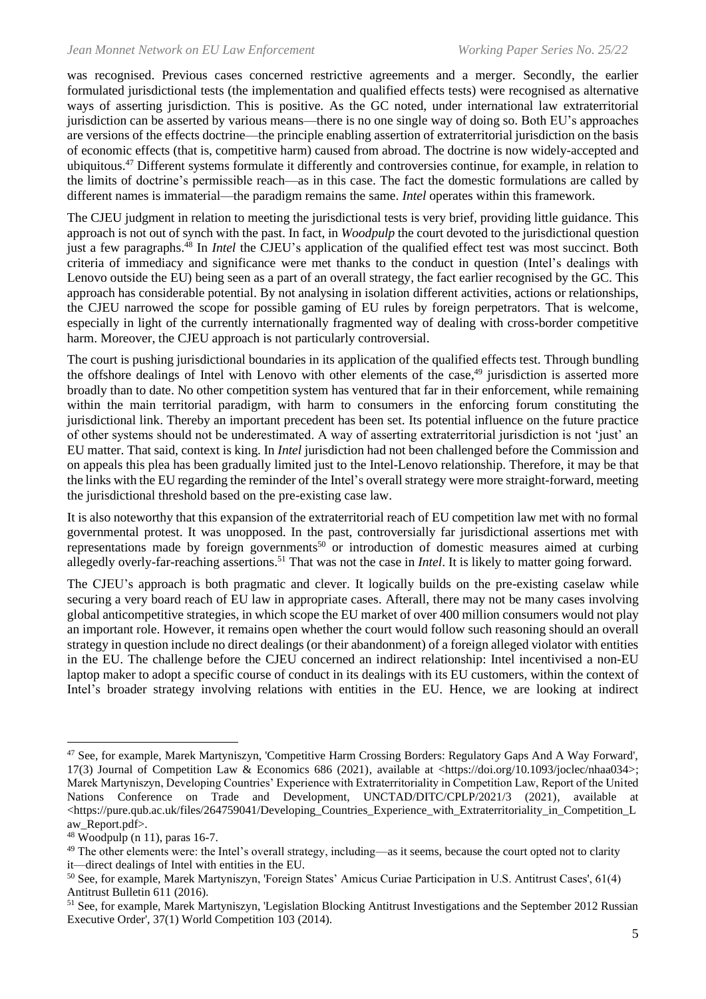was recognised. Previous cases concerned restrictive agreements and a merger. Secondly, the earlier formulated jurisdictional tests (the implementation and qualified effects tests) were recognised as alternative ways of asserting jurisdiction. This is positive. As the GC noted, under international law extraterritorial jurisdiction can be asserted by various means—there is no one single way of doing so. Both EU's approaches are versions of the effects doctrine—the principle enabling assertion of extraterritorial jurisdiction on the basis of economic effects (that is, competitive harm) caused from abroad. The doctrine is now widely-accepted and ubiquitous.<sup>47</sup> Different systems formulate it differently and controversies continue, for example, in relation to the limits of doctrine's permissible reach—as in this case. The fact the domestic formulations are called by different names is immaterial—the paradigm remains the same. *Intel* operates within this framework.

The CJEU judgment in relation to meeting the jurisdictional tests is very brief, providing little guidance. This approach is not out of synch with the past. In fact, in *Woodpulp* the court devoted to the jurisdictional question just a few paragraphs. <sup>48</sup> In *Intel* the CJEU's application of the qualified effect test was most succinct. Both criteria of immediacy and significance were met thanks to the conduct in question (Intel's dealings with Lenovo outside the EU) being seen as a part of an overall strategy, the fact earlier recognised by the GC. This approach has considerable potential. By not analysing in isolation different activities, actions or relationships, the CJEU narrowed the scope for possible gaming of EU rules by foreign perpetrators. That is welcome, especially in light of the currently internationally fragmented way of dealing with cross-border competitive harm. Moreover, the CJEU approach is not particularly controversial.

The court is pushing jurisdictional boundaries in its application of the qualified effects test. Through bundling the offshore dealings of Intel with Lenovo with other elements of the case,<sup>49</sup> jurisdiction is asserted more broadly than to date. No other competition system has ventured that far in their enforcement, while remaining within the main territorial paradigm, with harm to consumers in the enforcing forum constituting the jurisdictional link. Thereby an important precedent has been set. Its potential influence on the future practice of other systems should not be underestimated. A way of asserting extraterritorial jurisdiction is not 'just' an EU matter. That said, context is king. In *Intel* jurisdiction had not been challenged before the Commission and on appeals this plea has been gradually limited just to the Intel-Lenovo relationship. Therefore, it may be that the links with the EU regarding the reminder of the Intel's overall strategy were more straight-forward, meeting the jurisdictional threshold based on the pre-existing case law.

It is also noteworthy that this expansion of the extraterritorial reach of EU competition law met with no formal governmental protest. It was unopposed. In the past, controversially far jurisdictional assertions met with representations made by foreign governments<sup>50</sup> or introduction of domestic measures aimed at curbing allegedly overly-far-reaching assertions.<sup>51</sup> That was not the case in *Intel*. It is likely to matter going forward.

The CJEU's approach is both pragmatic and clever. It logically builds on the pre-existing caselaw while securing a very board reach of EU law in appropriate cases. Afterall, there may not be many cases involving global anticompetitive strategies, in which scope the EU market of over 400 million consumers would not play an important role. However, it remains open whether the court would follow such reasoning should an overall strategy in question include no direct dealings (or their abandonment) of a foreign alleged violator with entities in the EU. The challenge before the CJEU concerned an indirect relationship: Intel incentivised a non-EU laptop maker to adopt a specific course of conduct in its dealings with its EU customers, within the context of Intel's broader strategy involving relations with entities in the EU. Hence, we are looking at indirect

<sup>47</sup> See, for example, [Marek Martyniszyn, 'Competitive Harm Crossing Borders: Regulatory Gaps And A Way Forward',](https://doi.org/10.1093/joclec/nhaa034)  [17\(3\) Journal of Competition Law & Economics 686 \(2021\), available at <https://doi.org/10.1093/joclec/nhaa034>;](https://doi.org/10.1093/joclec/nhaa034) [Marek Martyniszyn, Developing Countries' Experience with Extraterritoriality in Competition Law, Report of the United](https://pure.qub.ac.uk/files/264759041/Developing_Countries_Experience_with_Extraterritoriality_in_Competition_Law_Report.pdf)  [Nations Conference on Trade and Development, UNCTAD/DITC/CPLP/2021/3 \(2021\), available at](https://pure.qub.ac.uk/files/264759041/Developing_Countries_Experience_with_Extraterritoriality_in_Competition_Law_Report.pdf)   $\lt$ https://pure.qub.ac.uk/files/264759041/Developing\_Countries\_Experience\_with\_Extraterritoriality\_in\_Competition\_L [aw\\_Report.pdf>.](https://pure.qub.ac.uk/files/264759041/Developing_Countries_Experience_with_Extraterritoriality_in_Competition_Law_Report.pdf)

<sup>48</sup> Woodpulp (n [11\)](#page-2-1), paras 16-7.

<sup>&</sup>lt;sup>49</sup> The other elements were: the Intel's overall strategy, including—as it seems, because the court opted not to clarity it—direct dealings of Intel with entities in the EU.

<sup>50</sup> See, for example, [Marek Martyniszyn, 'Foreign States' Amicus Curiae Participation in U.S. Antitrust Cases', 61\(4\)](https://doi.org/10.1177%2F0003603X16677782)  [Antitrust Bulletin 611 \(2016\).](https://doi.org/10.1177%2F0003603X16677782)

<sup>&</sup>lt;sup>51</sup> See, for example, [Marek Martyniszyn, 'Legislation Blocking Antitrust Investigations](https://ssrn.com/abstract=2399923) and the September 2012 Russian [Executive Order', 37\(1\) World Competition 103 \(2014\).](https://ssrn.com/abstract=2399923)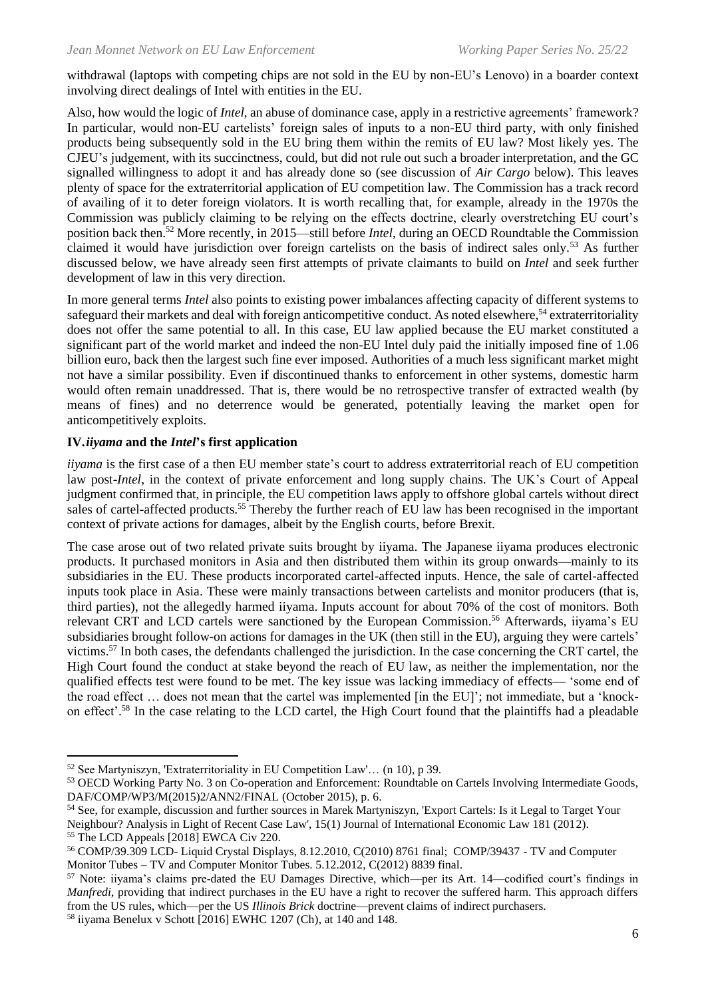withdrawal (laptops with competing chips are not sold in the EU by non-EU's Lenovo) in a boarder context involving direct dealings of Intel with entities in the EU.

Also, how would the logic of *Intel*, an abuse of dominance case, apply in a restrictive agreements' framework? In particular, would non-EU cartelists' foreign sales of inputs to a non-EU third party, with only finished products being subsequently sold in the EU bring them within the remits of EU law? Most likely yes. The CJEU's judgement, with its succinctness, could, but did not rule out such a broader interpretation, and the GC signalled willingness to adopt it and has already done so (see discussion of *Air Cargo* below). This leaves plenty of space for the extraterritorial application of EU competition law. The Commission has a track record of availing of it to deter foreign violators. It is worth recalling that, for example, already in the 1970s the Commission was publicly claiming to be relying on the effects doctrine, clearly overstretching EU court's position back then. <sup>52</sup> More recently, in 2015—still before *Intel*, during an OECD Roundtable the Commission claimed it would have jurisdiction over foreign cartelists on the basis of indirect sales only.<sup>53</sup> As further discussed below, we have already seen first attempts of private claimants to build on *Intel* and seek further development of law in this very direction.

In more general terms *Intel* also points to existing power imbalances affecting capacity of different systems to safeguard their markets and deal with foreign anticompetitive conduct. As noted elsewhere,<sup>54</sup> extraterritoriality does not offer the same potential to all. In this case, EU law applied because the EU market constituted a significant part of the world market and indeed the non-EU Intel duly paid the initially imposed fine of 1.06 billion euro, back then the largest such fine ever imposed. Authorities of a much less significant market might not have a similar possibility. Even if discontinued thanks to enforcement in other systems, domestic harm would often remain unaddressed. That is, there would be no retrospective transfer of extracted wealth (by means of fines) and no deterrence would be generated, potentially leaving the market open for anticompetitively exploits.

## **IV.***iiyama* **and the** *Intel***'s first application**

*iiyama* is the first case of a then EU member state's court to address extraterritorial reach of EU competition law post-*Intel*, in the context of private enforcement and long supply chains. The UK's Court of Appeal judgment confirmed that, in principle, the EU competition laws apply to offshore global cartels without direct sales of cartel-affected products.<sup>55</sup> Thereby the further reach of EU law has been recognised in the important context of private actions for damages, albeit by the English courts, before Brexit.

<span id="page-5-0"></span>The case arose out of two related private suits brought by iiyama. The Japanese iiyama produces electronic products. It purchased monitors in Asia and then distributed them within its group onwards—mainly to its subsidiaries in the EU. These products incorporated cartel-affected inputs. Hence, the sale of cartel-affected inputs took place in Asia. These were mainly transactions between cartelists and monitor producers (that is, third parties), not the allegedly harmed iiyama. Inputs account for about 70% of the cost of monitors. Both relevant CRT and LCD cartels were sanctioned by the European Commission. <sup>56</sup> Afterwards, iiyama's EU subsidiaries brought follow-on actions for damages in the UK (then still in the EU), arguing they were cartels' victims.<sup>57</sup> In both cases, the defendants challenged the jurisdiction. In the case concerning the CRT cartel, the High Court found the conduct at stake beyond the reach of EU law, as neither the implementation, nor the qualified effects test were found to be met. The key issue was lacking immediacy of effects— 'some end of the road effect … does not mean that the cartel was implemented [in the EU]'; not immediate, but a 'knockon effect'. <sup>58</sup> In the case relating to the LCD cartel, the High Court found that the plaintiffs had a pleadable

<sup>52</sup> See Martyniszyn, 'Extraterritoriality in EU Competition Law'… (n [10\)](#page-2-2), p 39.

<sup>53</sup> OECD Working Party No. 3 on Co-operation and Enforcement: Roundtable on Cartels Involving Intermediate Goods, DAF/COMP/WP3/M(2015)2/ANN2/FINAL (October 2015), p. 6.

<sup>54</sup> See, for example, discussion and further sources in [Marek Martyniszyn, 'Export Cartels: Is it Legal to Target Your](https://doi.org/10.1093/jiel/jgs003)  [Neighbour? Analysis in Light of Recent Case Law', 15\(1\) Journal of International Economic Law 181 \(2012\)](https://doi.org/10.1093/jiel/jgs003).

<sup>&</sup>lt;sup>55</sup> The LCD Appeals [2018] EWCA Civ 220.

<sup>56</sup> COMP/39.309 LCD- Liquid Crystal Displays, 8.12.2010, C(2010) 8761 final; COMP/39437 - TV and Computer Monitor Tubes – TV and Computer Monitor Tubes. 5.12.2012, C(2012) 8839 final.

<sup>57</sup> Note: iiyama's claims pre-dated the EU Damages Directive, which—per its Art. 14—codified court's findings in *Manfredi*, providing that indirect purchases in the EU have a right to recover the suffered harm. This approach differs from the US rules, which—per the US *Illinois Brick* doctrine—prevent claims of indirect purchasers.

<sup>58</sup> iiyama Benelux v Schott [2016] EWHC 1207 (Ch), at 140 and 148.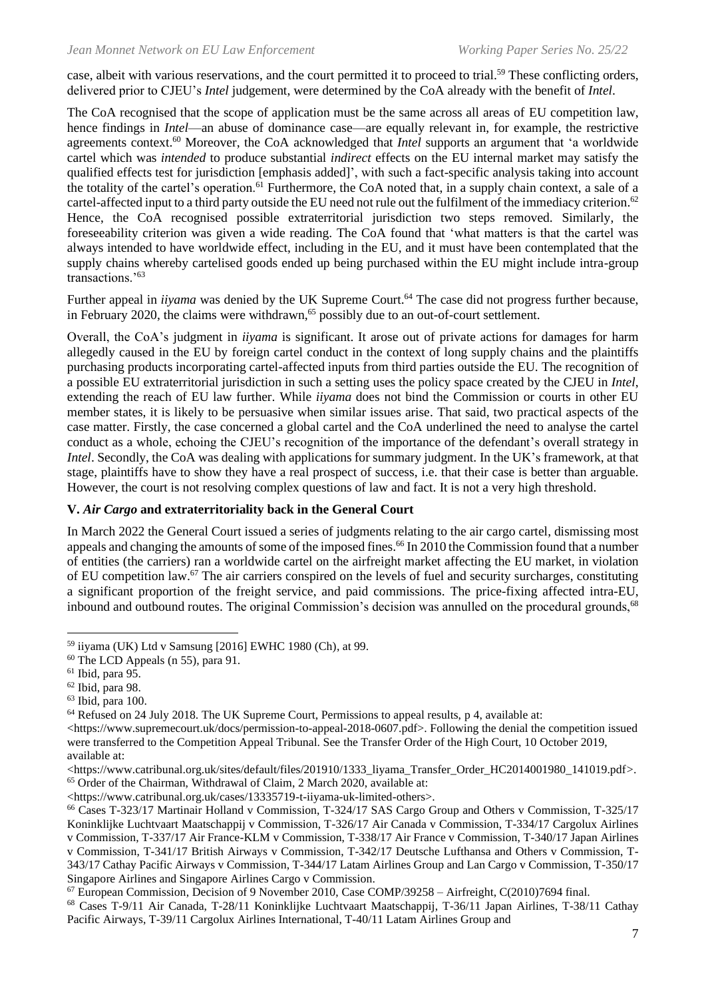case, albeit with various reservations, and the court permitted it to proceed to trial.<sup>59</sup> These conflicting orders, delivered prior to CJEU's *Intel* judgement, were determined by the CoA already with the benefit of *Intel*.

The CoA recognised that the scope of application must be the same across all areas of EU competition law, hence findings in *Intel*—an abuse of dominance case—are equally relevant in, for example, the restrictive agreements context. <sup>60</sup> Moreover, the CoA acknowledged that *Intel* supports an argument that 'a worldwide cartel which was *intended* to produce substantial *indirect* effects on the EU internal market may satisfy the qualified effects test for jurisdiction [emphasis added]', with such a fact-specific analysis taking into account the totality of the cartel's operation.<sup>61</sup> Furthermore, the CoA noted that, in a supply chain context, a sale of a cartel-affected input to a third party outside the EU need not rule out the fulfilment of the immediacy criterion.<sup>62</sup> Hence, the CoA recognised possible extraterritorial jurisdiction two steps removed. Similarly, the foreseeability criterion was given a wide reading. The CoA found that 'what matters is that the cartel was always intended to have worldwide effect, including in the EU, and it must have been contemplated that the supply chains whereby cartelised goods ended up being purchased within the EU might include intra-group transactions.'<sup>63</sup>

Further appeal in *iiyama* was denied by the UK Supreme Court.<sup>64</sup> The case did not progress further because, in February 2020, the claims were withdrawn, <sup>65</sup> possibly due to an out-of-court settlement.

Overall, the CoA's judgment in *iiyama* is significant. It arose out of private actions for damages for harm allegedly caused in the EU by foreign cartel conduct in the context of long supply chains and the plaintiffs purchasing products incorporating cartel-affected inputs from third parties outside the EU. The recognition of a possible EU extraterritorial jurisdiction in such a setting uses the policy space created by the CJEU in *Intel*, extending the reach of EU law further. While *iiyama* does not bind the Commission or courts in other EU member states, it is likely to be persuasive when similar issues arise. That said, two practical aspects of the case matter. Firstly, the case concerned a global cartel and the CoA underlined the need to analyse the cartel conduct as a whole, echoing the CJEU's recognition of the importance of the defendant's overall strategy in *Intel*. Secondly, the CoA was dealing with applications for summary judgment. In the UK's framework, at that stage, plaintiffs have to show they have a real prospect of success, i.e. that their case is better than arguable. However, the court is not resolving complex questions of law and fact. It is not a very high threshold.

#### **V.** *Air Cargo* **and extraterritoriality back in the General Court**

In March 2022 the General Court issued a series of judgments relating to the air cargo cartel, dismissing most appeals and changing the amounts of some of the imposed fines. <sup>66</sup> In 2010 the Commission found that a number of entities (the carriers) ran a worldwide cartel on the airfreight market affecting the EU market, in violation of EU competition law.<sup>67</sup> The air carriers conspired on the levels of fuel and security surcharges, constituting a significant proportion of the freight service, and paid commissions. The price-fixing affected intra-EU, inbound and outbound routes. The original Commission's decision was annulled on the procedural grounds,<sup>68</sup>

<sup>59</sup> iiyama (UK) Ltd v Samsung [2016] EWHC 1980 (Ch), at 99.

<sup>60</sup> The LCD Appeals (n [55\)](#page-5-0), para 91.

 $61$  Ibid, para 95.

 $62$  Ibid, para 98.

<sup>63</sup> Ibid, para 100.

<sup>64</sup> Refused on 24 July 2018. The UK Supreme Court, Permissions to appeal results, p 4, available at:

[<sup>&</sup>lt;https://www.supremecourt.uk/docs/permission-to-appeal-2018-0607.pdf>](https://www.supremecourt.uk/docs/permission-to-appeal-2018-0607.pdf). Following the denial the competition issued were transferred to the Competition Appeal Tribunal. See the Transfer Order of the High Court, 10 October 2019, available at:

 $\lt$ https://www.catribunal.org.uk/sites/default/files/201910/1333\_liyama\_Transfer\_Order\_HC2014001980\_141019.pdf>. <sup>65</sup> Order of the Chairman, Withdrawal of Claim, 2 March 2020, available at:

[<sup>&</sup>lt;https://www.catribunal.org.uk/cases/13335719-t-iiyama-uk-limited-others>](https://www.catribunal.org.uk/cases/13335719-t-iiyama-uk-limited-others).

<sup>66</sup> Cases T-323/17 Martinair Holland v Commission, T-324/17 SAS Cargo Group and Others v Commission, T-325/17 Koninklijke Luchtvaart Maatschappij v Commission, T-326/17 Air Canada v Commission, T-334/17 Cargolux Airlines v Commission, T-337/17 Air France-KLM v Commission, T-338/17 Air France v Commission, T-340/17 Japan Airlines v Commission, T-341/17 British Airways v Commission, T-342/17 Deutsche Lufthansa and Others v Commission, T-343/17 Cathay Pacific Airways v Commission, T-344/17 Latam Airlines Group and Lan Cargo v Commission, T-350/17 Singapore Airlines and Singapore Airlines Cargo v Commission.

 $^{67}$  European Commission, Decision of 9 November 2010, Case COMP/39258 – Airfreight, C(2010)7694 final.

<sup>68</sup> Cases T-9/11 Air Canada, T-28/11 Koninklijke Luchtvaart Maatschappij, T-36/11 Japan Airlines, T-38/11 Cathay Pacific Airways, T-39/11 Cargolux Airlines International, T-40/11 Latam Airlines Group and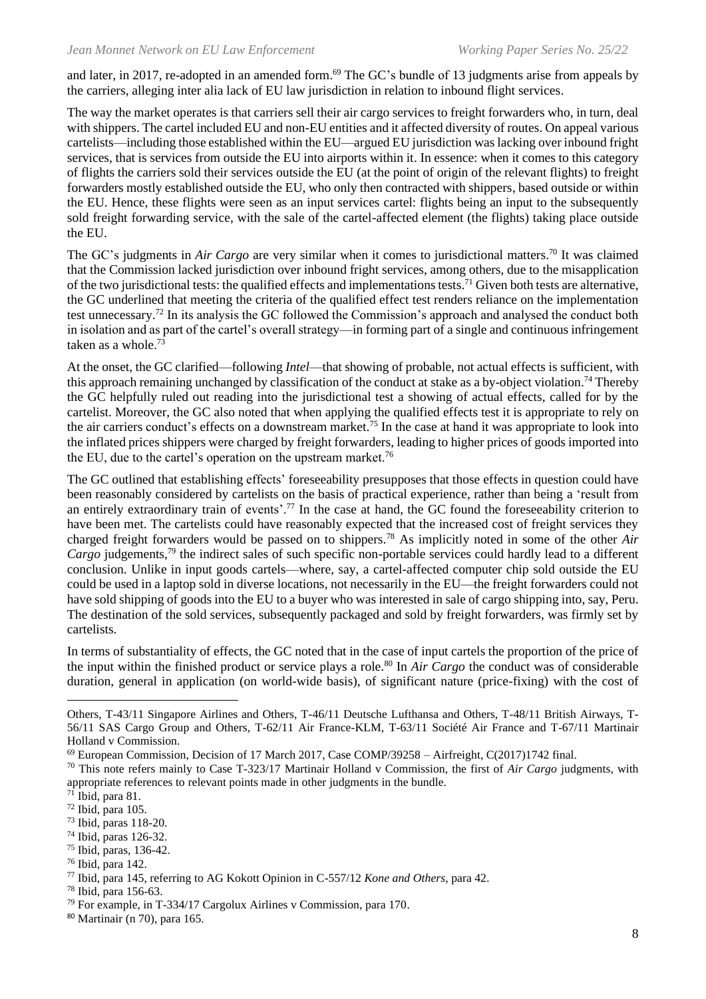and later, in 2017, re-adopted in an amended form.<sup>69</sup> The GC's bundle of 13 judgments arise from appeals by the carriers, alleging inter alia lack of EU law jurisdiction in relation to inbound flight services.

The way the market operates is that carriers sell their air cargo services to freight forwarders who, in turn, deal with shippers. The cartel included EU and non-EU entities and it affected diversity of routes. On appeal various cartelists—including those established within the EU—argued EU jurisdiction was lacking over inbound fright services, that is services from outside the EU into airports within it. In essence: when it comes to this category of flights the carriers sold their services outside the EU (at the point of origin of the relevant flights) to freight forwarders mostly established outside the EU, who only then contracted with shippers, based outside or within the EU. Hence, these flights were seen as an input services cartel: flights being an input to the subsequently sold freight forwarding service, with the sale of the cartel-affected element (the flights) taking place outside the EU.

<span id="page-7-0"></span>The GC's judgments in *Air Cargo* are very similar when it comes to jurisdictional matters. <sup>70</sup> It was claimed that the Commission lacked jurisdiction over inbound fright services, among others, due to the misapplication of the two jurisdictional tests: the qualified effects and implementations tests.<sup>71</sup> Given both tests are alternative, the GC underlined that meeting the criteria of the qualified effect test renders reliance on the implementation test unnecessary.<sup>72</sup> In its analysis the GC followed the Commission's approach and analysed the conduct both in isolation and as part of the cartel's overall strategy—in forming part of a single and continuous infringement taken as a whole. 73

At the onset, the GC clarified—following *Intel*—that showing of probable, not actual effects is sufficient, with this approach remaining unchanged by classification of the conduct at stake as a by-object violation.<sup>74</sup> Thereby the GC helpfully ruled out reading into the jurisdictional test a showing of actual effects, called for by the cartelist. Moreover, the GC also noted that when applying the qualified effects test it is appropriate to rely on the air carriers conduct's effects on a downstream market.<sup>75</sup> In the case at hand it was appropriate to look into the inflated prices shippers were charged by freight forwarders, leading to higher prices of goods imported into the EU, due to the cartel's operation on the upstream market.<sup>76</sup>

The GC outlined that establishing effects' foreseeability presupposes that those effects in question could have been reasonably considered by cartelists on the basis of practical experience, rather than being a 'result from an entirely extraordinary train of events'.<sup>77</sup> In the case at hand, the GC found the foreseeability criterion to have been met. The cartelists could have reasonably expected that the increased cost of freight services they charged freight forwarders would be passed on to shippers.<sup>78</sup> As implicitly noted in some of the other *Air Cargo* judgements, <sup>79</sup> the indirect sales of such specific non-portable services could hardly lead to a different conclusion. Unlike in input goods cartels—where, say, a cartel-affected computer chip sold outside the EU could be used in a laptop sold in diverse locations, not necessarily in the EU—the freight forwarders could not have sold shipping of goods into the EU to a buyer who was interested in sale of cargo shipping into, say, Peru. The destination of the sold services, subsequently packaged and sold by freight forwarders, was firmly set by cartelists.

In terms of substantiality of effects, the GC noted that in the case of input cartels the proportion of the price of the input within the finished product or service plays a role.<sup>80</sup> In *Air Cargo* the conduct was of considerable duration, general in application (on world-wide basis), of significant nature (price-fixing) with the cost of

<sup>78</sup> Ibid, para 156-63.

Others, T-43/11 Singapore Airlines and Others, T-46/11 Deutsche Lufthansa and Others, T-48/11 British Airways, T-56/11 SAS Cargo Group and Others, T-62/11 Air France-KLM, T-63/11 Société Air France and T-67/11 Martinair Holland v Commission.

<sup>69</sup> European Commission, Decision of 17 March 2017, Case COMP/39258 – Airfreight, C(2017)1742 final.

<sup>70</sup> This note refers mainly to Case T-323/17 Martinair Holland v Commission, the first of *Air Cargo* judgments, with appropriate references to relevant points made in other judgments in the bundle.

<sup>71</sup> Ibid, para 81.

 $72$  Ibid, para 105.

<sup>73</sup> Ibid, paras 118-20.

<sup>74</sup> Ibid, paras 126-32.

<sup>75</sup> Ibid, paras, 136-42.

<sup>76</sup> Ibid, para 142.

<sup>77</sup> Ibid, para 145, referring to AG Kokott Opinion in C-557/12 *Kone and Others*, para 42.

<sup>79</sup> For example, in T-334/17 Cargolux Airlines v Commission, para 170.

<sup>80</sup> Martinair (n [70\)](#page-7-0), para 165.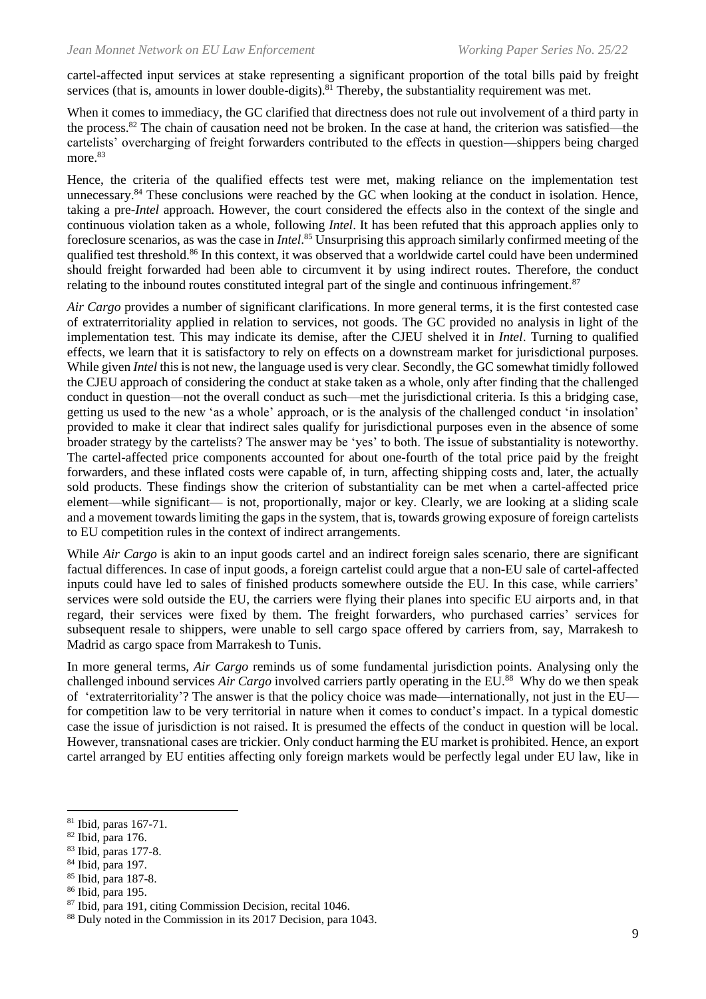cartel-affected input services at stake representing a significant proportion of the total bills paid by freight services (that is, amounts in lower double-digits).<sup>81</sup> Thereby, the substantiality requirement was met.

When it comes to immediacy, the GC clarified that directness does not rule out involvement of a third party in the process.<sup>82</sup> The chain of causation need not be broken. In the case at hand, the criterion was satisfied—the cartelists' overcharging of freight forwarders contributed to the effects in question—shippers being charged more. 83

Hence, the criteria of the qualified effects test were met, making reliance on the implementation test unnecessary.<sup>84</sup> These conclusions were reached by the GC when looking at the conduct in isolation. Hence, taking a pre-*Intel* approach. However, the court considered the effects also in the context of the single and continuous violation taken as a whole, following *Intel*. It has been refuted that this approach applies only to foreclosure scenarios, as was the case in *Intel*. <sup>85</sup> Unsurprising this approach similarly confirmed meeting of the qualified test threshold.<sup>86</sup> In this context, it was observed that a worldwide cartel could have been undermined should freight forwarded had been able to circumvent it by using indirect routes. Therefore, the conduct relating to the inbound routes constituted integral part of the single and continuous infringement.<sup>87</sup>

*Air Cargo* provides a number of significant clarifications. In more general terms*,* it is the first contested case of extraterritoriality applied in relation to services, not goods. The GC provided no analysis in light of the implementation test. This may indicate its demise, after the CJEU shelved it in *Intel*. Turning to qualified effects, we learn that it is satisfactory to rely on effects on a downstream market for jurisdictional purposes. While given *Intel* this is not new, the language used is very clear. Secondly, the GC somewhat timidly followed the CJEU approach of considering the conduct at stake taken as a whole, only after finding that the challenged conduct in question—not the overall conduct as such—met the jurisdictional criteria. Is this a bridging case, getting us used to the new 'as a whole' approach, or is the analysis of the challenged conduct 'in insolation' provided to make it clear that indirect sales qualify for jurisdictional purposes even in the absence of some broader strategy by the cartelists? The answer may be 'yes' to both. The issue of substantiality is noteworthy. The cartel-affected price components accounted for about one-fourth of the total price paid by the freight forwarders, and these inflated costs were capable of, in turn, affecting shipping costs and, later, the actually sold products. These findings show the criterion of substantiality can be met when a cartel-affected price element—while significant— is not, proportionally, major or key. Clearly, we are looking at a sliding scale and a movement towards limiting the gaps in the system, that is, towards growing exposure of foreign cartelists to EU competition rules in the context of indirect arrangements.

While *Air Cargo* is akin to an input goods cartel and an indirect foreign sales scenario, there are significant factual differences. In case of input goods, a foreign cartelist could argue that a non-EU sale of cartel-affected inputs could have led to sales of finished products somewhere outside the EU. In this case, while carriers' services were sold outside the EU, the carriers were flying their planes into specific EU airports and, in that regard, their services were fixed by them. The freight forwarders, who purchased carries' services for subsequent resale to shippers, were unable to sell cargo space offered by carriers from, say, Marrakesh to Madrid as cargo space from Marrakesh to Tunis.

In more general terms, *Air Cargo* reminds us of some fundamental jurisdiction points. Analysing only the challenged inbound services *Air Cargo* involved carriers partly operating in the EU. <sup>88</sup> Why do we then speak of 'extraterritoriality'? The answer is that the policy choice was made—internationally, not just in the EU for competition law to be very territorial in nature when it comes to conduct's impact. In a typical domestic case the issue of jurisdiction is not raised. It is presumed the effects of the conduct in question will be local. However, transnational cases are trickier. Only conduct harming the EU market is prohibited. Hence, an export cartel arranged by EU entities affecting only foreign markets would be perfectly legal under EU law, like in

- <sup>82</sup> Ibid, para 176.
- <sup>83</sup> Ibid, paras 177-8.
- <sup>84</sup> Ibid, para 197.
- <sup>85</sup> Ibid, para 187-8.
- <sup>86</sup> Ibid, para 195.

<sup>81</sup> Ibid, paras 167-71.

<sup>87</sup> Ibid, para 191, citing Commission Decision, recital 1046.

<sup>88</sup> Duly noted in the Commission in its 2017 Decision, para 1043.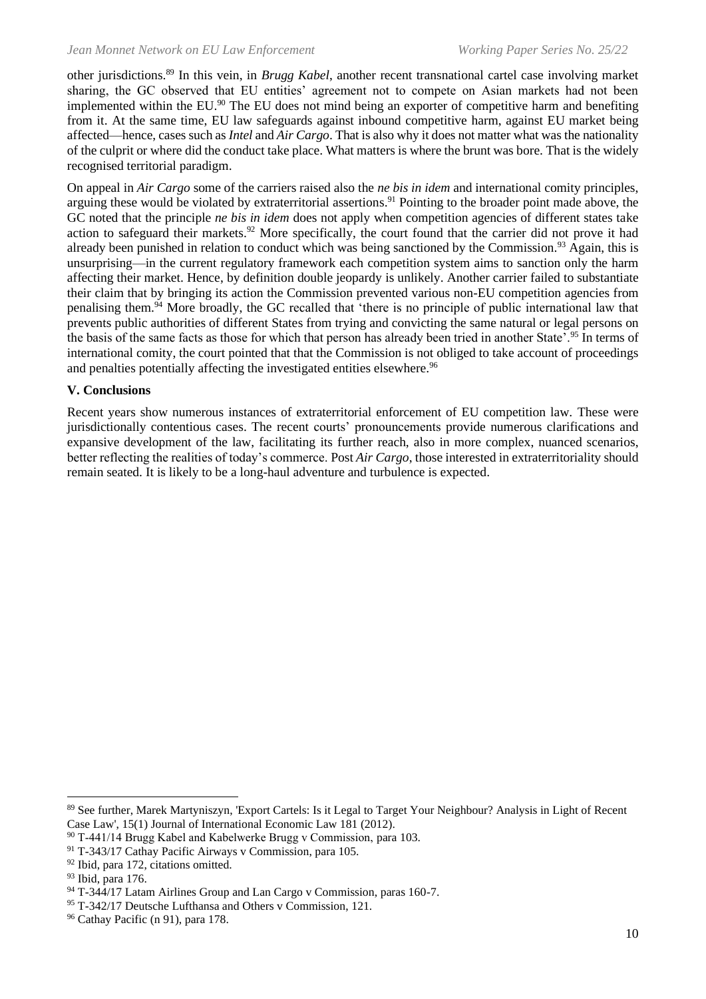other jurisdictions.<sup>89</sup> In this vein, in *Brugg Kabel*, another recent transnational cartel case involving market sharing, the GC observed that EU entities' agreement not to compete on Asian markets had not been implemented within the EU.<sup>90</sup> The EU does not mind being an exporter of competitive harm and benefiting from it. At the same time, EU law safeguards against inbound competitive harm, against EU market being affected—hence, cases such as *Intel* and *Air Cargo*. That is also why it does not matter what was the nationality of the culprit or where did the conduct take place. What matters is where the brunt was bore. That is the widely recognised territorial paradigm.

<span id="page-9-0"></span>On appeal in *Air Cargo* some of the carriers raised also the *ne bis in idem* and international comity principles, arguing these would be violated by extraterritorial assertions.<sup>91</sup> Pointing to the broader point made above, the GC noted that the principle *ne bis in idem* does not apply when competition agencies of different states take action to safeguard their markets.<sup>92</sup> More specifically, the court found that the carrier did not prove it had already been punished in relation to conduct which was being sanctioned by the Commission.<sup>93</sup> Again, this is unsurprising—in the current regulatory framework each competition system aims to sanction only the harm affecting their market. Hence, by definition double jeopardy is unlikely. Another carrier failed to substantiate their claim that by bringing its action the Commission prevented various non-EU competition agencies from penalising them.<sup>94</sup> More broadly, the GC recalled that 'there is no principle of public international law that prevents public authorities of different States from trying and convicting the same natural or legal persons on the basis of the same facts as those for which that person has already been tried in another State'.<sup>95</sup> In terms of international comity, the court pointed that that the Commission is not obliged to take account of proceedings and penalties potentially affecting the investigated entities elsewhere.<sup>96</sup>

#### **V. Conclusions**

Recent years show numerous instances of extraterritorial enforcement of EU competition law. These were jurisdictionally contentious cases. The recent courts' pronouncements provide numerous clarifications and expansive development of the law, facilitating its further reach, also in more complex, nuanced scenarios, better reflecting the realities of today's commerce. Post *Air Cargo*, those interested in extraterritoriality should remain seated. It is likely to be a long-haul adventure and turbulence is expected.

<sup>89</sup> See further, Marek Martyniszyn, 'Export Cartels: Is it Legal to Target Your Neighbour? Analysis in Light of Recent Case Law', 15(1) Journal of International Economic Law 181 (2012).

<sup>90</sup> T‑441/14 Brugg Kabel and Kabelwerke Brugg v Commission, para 103.

<sup>91</sup> T-343/17 Cathay Pacific Airways v Commission, para 105.

<sup>92</sup> Ibid, para 172, citations omitted.

<sup>93</sup> Ibid, para 176.

<sup>&</sup>lt;sup>94</sup> T-344/17 Latam Airlines Group and Lan Cargo v Commission, paras 160-7.

<sup>95</sup> T-342/17 Deutsche Lufthansa and Others v Commission, 121.

<sup>96</sup> Cathay Pacific ([n 91\)](#page-9-0), para 178.